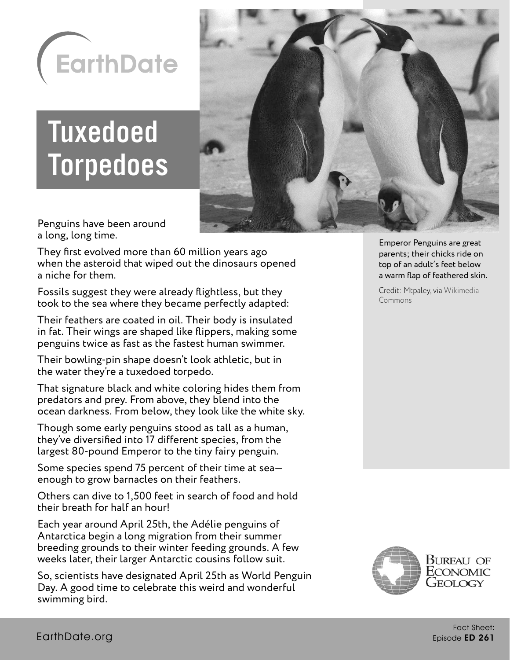

# Tuxedoed **Torpedoes**



Penguins have been around a long, long time.

They first evolved more than 60 million years ago when the asteroid that wiped out the dinosaurs opened a niche for them.

Fossils suggest they were already flightless, but they took to the sea where they became perfectly adapted:

Their feathers are coated in oil. Their body is insulated in fat. Their wings are shaped like flippers, making some penguins twice as fast as the fastest human swimmer.

Their bowling-pin shape doesn't look athletic, but in the water they're a tuxedoed torpedo.

That signature black and white coloring hides them from predators and prey. From above, they blend into the ocean darkness. From below, they look like the white sky.

Though some early penguins stood as tall as a human, they've diversified into 17 different species, from the largest 80-pound Emperor to the tiny fairy penguin.

Some species spend 75 percent of their time at sea enough to grow barnacles on their feathers.

Others can dive to 1,500 feet in search of food and hold their breath for half an hour!

Each year around April 25th, the Adélie penguins of Antarctica begin a long migration from their summer breeding grounds to their winter feeding grounds. A few weeks later, their larger Antarctic cousins follow suit.

So, scientists have designated April 25th as World Penguin Day. A good time to celebrate this weird and wonderful swimming bird.

Emperor Penguins are great parents; their chicks ride on top of an adult's feet below a warm flap of feathered skin.

Credit: Mtpaley, via [Wikimedia](https://creativecommons.org/licenses/by-sa/4.0/)  **[Commons](https://creativecommons.org/licenses/by-sa/4.0/)** 

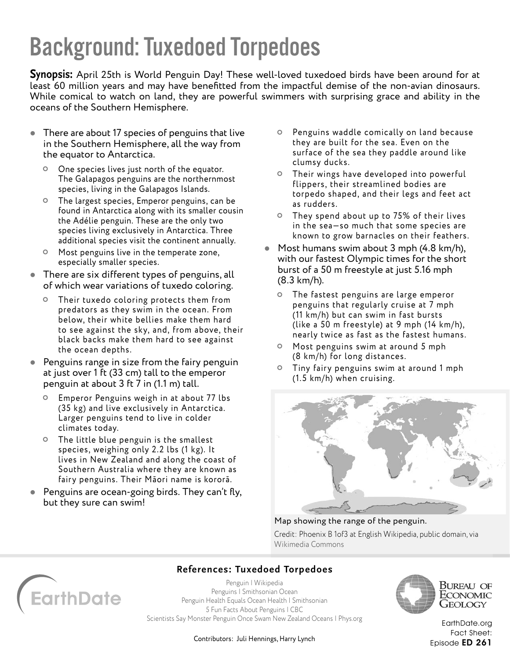## Background: Tuxedoed Torpedoes

**Synopsis:** April 25th is World Penguin Day! These well-loved tuxedoed birds have been around for at least 60 million years and may have benefitted from the impactful demise of the non-avian dinosaurs. While comical to watch on land, they are powerful swimmers with surprising grace and ability in the oceans of the Southern Hemisphere.

- There are about 17 species of penguins that live in the Southern Hemisphere, all the way from the equator to Antarctica.
	- One species lives just north of the equator. The Galapagos penguins are the northernmost species, living in the Galapagos Islands.
	- The largest species, Emperor penguins, can be found in Antarctica along with its smaller cousin the Adélie penguin. These are the only two species living exclusively in Antarctica. Three additional species visit the continent annually.
	- Most penguins live in the temperate zone, especially smaller species.
- There are six different types of penguins, all of which wear variations of tuxedo coloring.
	- Their tuxedo coloring protects them from predators as they swim in the ocean. From below, their white bellies make them hard to see against the sky, and, from above, their black backs make them hard to see against the ocean depths.
- **Penguins range in size from the fairy penguin** at just over 1 ft (33 cm) tall to the emperor penguin at about 3 ft 7 in (1.1 m) tall.
	- Emperor Penguins weigh in at about 77 lbs (35 kg) and live exclusively in Antarctica. Larger penguins tend to live in colder climates today.
	- The little blue penguin is the smallest species, weighing only 2.2 lbs (1 kg). It lives in New Zealand and along the coast of Southern Australia where they are known as fairy penguins. Their Māori name is kororā.
- Penguins are ocean-going birds. They can't fly, but they sure can swim!
- Penguins waddle comically on land because they are built for the sea. Even on the surface of the sea they paddle around like clumsy ducks.
- Their wings have developed into powerful flippers, their streamlined bodies are torpedo shaped, and their legs and feet act as rudders.
- They spend about up to 75% of their lives in the sea—so much that some species are known to grow barnacles on their feathers.
- Most humans swim about 3 mph (4.8 km/h), with our fastest Olympic times for the short burst of a 50 m freestyle at just 5.16 mph (8.3 km/h).
	- The fastest penguins are large emperor penguins that regularly cruise at 7 mph (11 km/h) but can swim in fast bursts (like a 50 m freestyle) at 9 mph (14 km/h), nearly twice as fast as the fastest humans.
	- Most penguins swim at around 5 mph (8 km/h) for long distances.
	- $\circ$  Tiny fairy penguins swim at around 1 mph (1.5 km/h) when cruising.



#### Map showing the range of the penguin.

Credit: Phoenix B 1of3 at English Wikipedia, public domain, via [Wikimedia Commons](https://creativecommons.org/licenses/by-sa/3.0/)



### **References: Tuxedoed Torpedoes**

[Penguin | Wikipedia](https://en.wikipedia.org/wiki/Penguin) [Penguins | Smithsonian Ocean](https://ocean.si.edu/ocean-life/seabirds/penguins) [Penguin Health Equals Ocean Health | Smithsonian](https://ocean.si.edu/ocean-life/seabirds/penguin-health-equals-ocean-health) [5 Fun Facts About Penguins | CBC](https://www.cbc.ca/kidscbc2/the-feed/5-fun-facts-about-penguins) [Scientists Say Monster Penguin Once Swam New Zealand Oceans | Phys.org](https://phys.org/news/2019-08-giant-penguin-fossil-zealand.html)



Bureau of ECONOMIC Geology

[EarthDate.org](http://www.earthdate.org) Fact Sheet: Episode ED 261

Contributors: Juli Hennings, Harry Lynch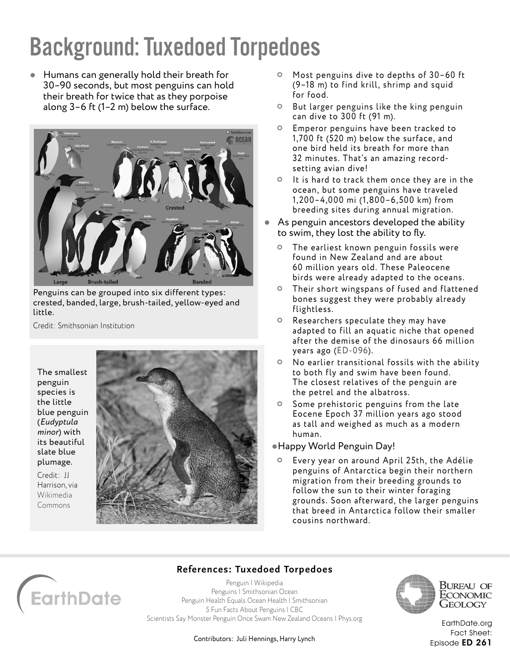# Background: Tuxedoed Torpedoes

 Humans can generally hold their breath for 30–90 seconds, but most penguins can hold their breath for twice that as they porpoise along 3–6 ft (1–2 m) below the surface.



Penguins can be grouped into six different types: crested, banded, large, brush-tailed, yellow-eyed and little.

Credit: Smithsonian Institution

The smallest penguin species is the little blue penguin (*Eudyptula minor*) with its beautiful slate blue plumage.

Credit: JJ Harrison, via [Wikimedia](https://creativecommons.org/licenses/by-sa/3.0/)  [Commons](https://creativecommons.org/licenses/by-sa/3.0/)



- Most penguins dive to depths of 30–60 ft (9–18 m) to find krill, shrimp and squid for food.
- $\circ$  But larger penguins like the king penguin can dive to 300 ft (91 m).
- Emperor penguins have been tracked to 1,700 ft (520 m) below the surface, and one bird held its breath for more than 32 minutes. That's an amazing recordsetting avian dive!
- $\circ$  It is hard to track them once they are in the ocean, but some penguins have traveled 1, 200–4,000 mi (1,800–6,500 km) from breeding sites during annual migration.
- As penguin ancestors developed the ability to swim, they lost the ability to fly.
	- The earliest known penguin fossils were found in New Zealand and are about 60 million years old. These Paleocene birds were already adapted to the oceans.
	- Their short wingspans of fused and flattened bones suggest they were probably already flightless.
	- Researchers speculate they may have adapted to fill an aquatic niche that opened after the demise of the dinosaurs 66 million years ago ([ED-096](https://www.earthdate.org/node/103)).
	- No earlier transitional fossils with the ability to both fly and swim have been found. The closest relatives of the penguin are the petrel and the albatross.
	- Some prehistoric penguins from the late Eocene Epoch 37 million years ago stood as tall and weighed as much as a modern human.

#### Happy World Penguin Day!

Every year on around April 25th, the Adélie penguins of Antarctica begin their northern migration from their breeding grounds to follow the sun to their winter foraging grounds. Soon after ward, the larger penguins that breed in Antarctica follow their smaller cousins northward.



### **References: Tuxedoed Torpedoes**

[Penguin | Wikipedia](https://en.wikipedia.org/wiki/Penguin) [Penguins | Smithsonian Ocean](https://ocean.si.edu/ocean-life/seabirds/penguins) [Penguin Health Equals Ocean Health | Smithsonian](https://ocean.si.edu/ocean-life/seabirds/penguin-health-equals-ocean-health) [5 Fun Facts About Penguins | CBC](https://www.cbc.ca/kidscbc2/the-feed/5-fun-facts-about-penguins) [Scientists Say Monster Penguin Once Swam New Zealand Oceans | Phys.org](https://phys.org/news/2019-08-giant-penguin-fossil-zealand.html)



Bureau of ECONOMIC Geology

[EarthDate.org](http://www.earthdate.org) Fact Sheet: Episode ED 261

Contributors: Juli Hennings, Harry Lynch